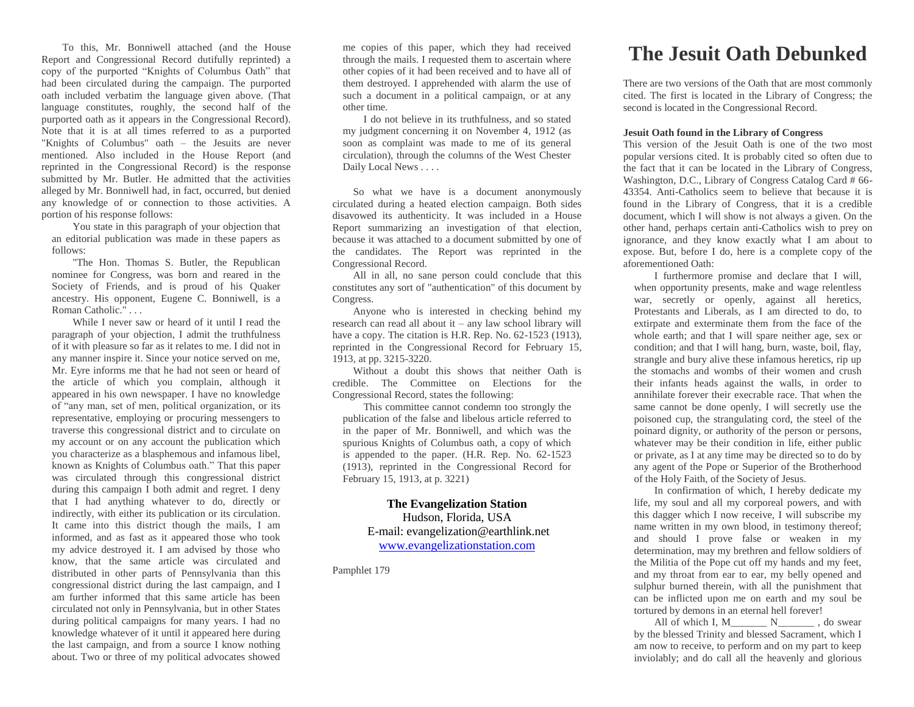To this, Mr. Bonniwell attached (and the House Report and Congressional Record dutifully reprinted) a copy of the purported "Knights of Columbus Oath" that had been circulated during the campaign. The purported oath included verbatim the language given above. (That language constitutes, roughly, the second half of the purported oath as it appears in the Congressional Record). Note that it is at all times referred to as a purported "Knights of Columbus" oath – the Jesuits are never mentioned. Also included in the House Report (and reprinted in the Congressional Record) is the response submitted by Mr. Butler. He admitted that the activities alleged by Mr. Bonniwell had, in fact, occurred, but denied any knowledge of or connection to those activities. A portion of his response follows:

You state in this paragraph of your objection that an editorial publication was made in these papers as follows:

"The Hon. Thomas S. Butler, the Republican nominee for Congress, was born and reared in the Society of Friends, and is proud of his Quaker ancestry. His opponent, Eugene C. Bonniwell, is a Roman Catholic." . . .

While I never saw or heard of it until I read the paragraph of your objection, I admit the truthfulness of it with pleasure so far as it relates to me. I did not in any manner inspire it. Since your notice served on me, Mr. Eyre informs me that he had not seen or heard of the article of which you complain, although it appeared in his own newspaper. I have no knowledge of "any man, set of men, political organization, or its representative, employing or procuring messengers to traverse this congressional district and to circulate on my account or on any account the publication which you characterize as a blasphemous and infamous libel, known as Knights of Columbus oath." That this paper was circulated through this congressional district during this campaign I both admit and regret. I deny that I had anything whatever to do, directly or indirectly, with either its publication or its circulation. It came into this district though the mails, I am informed, and as fast as it appeared those who took my advice destroyed it. I am advised by those who know, that the same article was circulated and distributed in other parts of Pennsylvania than this congressional district during the last campaign, and I am further informed that this same article has been circulated not only in Pennsylvania, but in other States during political campaigns for many years. I had no knowledge whatever of it until it appeared here during the last campaign, and from a source I know nothing about. Two or three of my political advocates showed

me copies of this paper, which they had received through the mails. I requested them to ascertain where other copies of it had been received and to have all of them destroyed. I apprehended with alarm the use of such a document in a political campaign, or at any other time.

I do not believe in its truthfulness, and so stated my judgment concerning it on November 4, 1912 (as soon as complaint was made to me of its general circulation), through the columns of the West Chester Daily Local News . . . .

So what we have is a document anonymously circulated during a heated election campaign. Both sides disavowed its authenticity. It was included in a House Report summarizing an investigation of that election, because it was attached to a document submitted by one of the candidates. The Report was reprinted in the Congressional Record.

All in all, no sane person could conclude that this constitutes any sort of "authentication" of this document by Congress.

Anyone who is interested in checking behind my research can read all about it – any law school library will have a copy. The citation is H.R. Rep. No. 62-1523 (1913), reprinted in the Congressional Record for February 15, 1913, at pp. 3215-3220.

Without a doubt this shows that neither Oath is credible. The Committee on Elections for the Congressional Record, states the following:

This committee cannot condemn too strongly the publication of the false and libelous article referred to in the paper of Mr. Bonniwell, and which was the spurious Knights of Columbus oath, a copy of which is appended to the paper. (H.R. Rep. No. 62-1523 (1913), reprinted in the Congressional Record for February 15, 1913, at p. 3221)

## **The Evangelization Station** Hudson, Florida, USA E-mail: evangelization@earthlink.net [www.evangelizationstation.com](http://www.pjpiisoe.org/)

Pamphlet 179

## **The Jesuit Oath Debunked**

There are two versions of the Oath that are most commonly cited. The first is located in the Library of Congress; the second is located in the Congressional Record.

## **Jesuit Oath found in the Library of Congress**

This version of the Jesuit Oath is one of the two most popular versions cited. It is probably cited so often due to the fact that it can be located in the Library of Congress, Washington, D.C., Library of Congress Catalog Card # 66- 43354. Anti-Catholics seem to believe that because it is found in the Library of Congress, that it is a credible document, which I will show is not always a given. On the other hand, perhaps certain anti-Catholics wish to prey on ignorance, and they know exactly what I am about to expose. But, before I do, here is a complete copy of the aforementioned Oath:

I furthermore promise and declare that I will, when opportunity presents, make and wage relentless war, secretly or openly, against all heretics, Protestants and Liberals, as I am directed to do, to extirpate and exterminate them from the face of the whole earth; and that I will spare neither age, sex or condition; and that I will hang, burn, waste, boil, flay, strangle and bury alive these infamous heretics, rip up the stomachs and wombs of their women and crush their infants heads against the walls, in order to annihilate forever their execrable race. That when the same cannot be done openly, I will secretly use the poisoned cup, the strangulating cord, the steel of the poinard dignity, or authority of the person or persons, whatever may be their condition in life, either public or private, as I at any time may be directed so to do by any agent of the Pope or Superior of the Brotherhood of the Holy Faith, of the Society of Jesus.

In confirmation of which, I hereby dedicate my life, my soul and all my corporeal powers, and with this dagger which I now receive, I will subscribe my name written in my own blood, in testimony thereof; and should I prove false or weaken in my determination, may my brethren and fellow soldiers of the Militia of the Pope cut off my hands and my feet, and my throat from ear to ear, my belly opened and sulphur burned therein, with all the punishment that can be inflicted upon me on earth and my soul be tortured by demons in an eternal hell forever!

All of which I,  $M$ <sub>\_\_\_\_\_\_</sub> N<sub>\_\_\_\_\_</sub>\_\_\_\_\_\_\_, do swear by the blessed Trinity and blessed Sacrament, which I am now to receive, to perform and on my part to keep inviolably; and do call all the heavenly and glorious